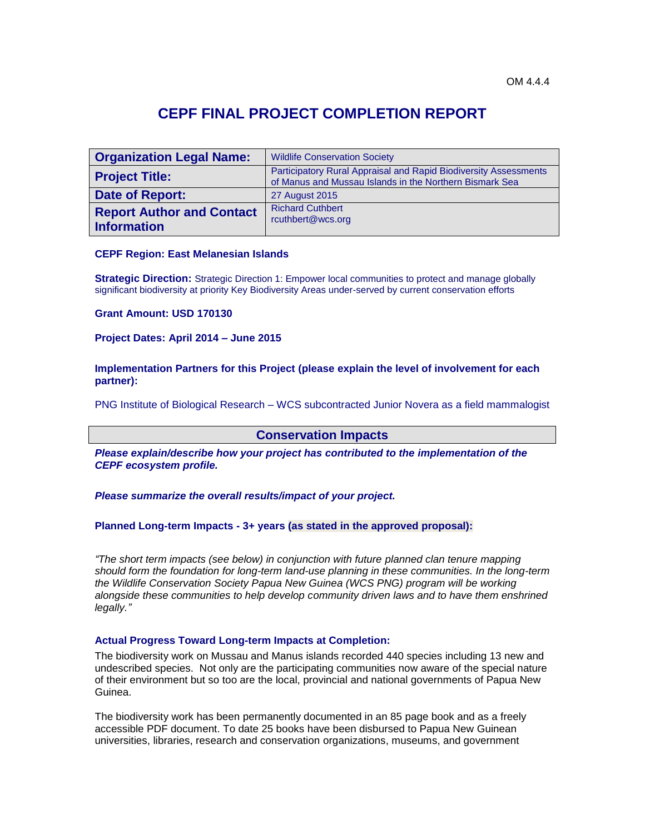# **CEPF FINAL PROJECT COMPLETION REPORT**

| <b>Organization Legal Name:</b>                        | <b>Wildlife Conservation Society</b>                                                                                        |
|--------------------------------------------------------|-----------------------------------------------------------------------------------------------------------------------------|
| <b>Project Title:</b>                                  | Participatory Rural Appraisal and Rapid Biodiversity Assessments<br>of Manus and Mussau Islands in the Northern Bismark Sea |
| Date of Report:                                        | 27 August 2015                                                                                                              |
| <b>Report Author and Contact</b><br><b>Information</b> | <b>Richard Cuthbert</b><br>rcuthbert@wcs.org                                                                                |

#### **CEPF Region: East Melanesian Islands**

**Strategic Direction:** Strategic Direction 1: Empower local communities to protect and manage globally significant biodiversity at priority Key Biodiversity Areas under-served by current conservation efforts

#### **Grant Amount: USD 170130**

**Project Dates: April 2014 – June 2015**

### **Implementation Partners for this Project (please explain the level of involvement for each partner):**

PNG Institute of Biological Research – WCS subcontracted Junior Novera as a field mammalogist

## **Conservation Impacts**

*Please explain/describe how your project has contributed to the implementation of the CEPF ecosystem profile.*

#### *Please summarize the overall results/impact of your project.*

## **Planned Long-term Impacts - 3+ years (as stated in the approved proposal):**

*"The short term impacts (see below) in conjunction with future planned clan tenure mapping should form the foundation for long-term land-use planning in these communities. In the long-term the Wildlife Conservation Society Papua New Guinea (WCS PNG) program will be working alongside these communities to help develop community driven laws and to have them enshrined legally."*

## **Actual Progress Toward Long-term Impacts at Completion:**

The biodiversity work on Mussau and Manus islands recorded 440 species including 13 new and undescribed species. Not only are the participating communities now aware of the special nature of their environment but so too are the local, provincial and national governments of Papua New Guinea.

The biodiversity work has been permanently documented in an 85 page book and as a freely accessible PDF document. To date 25 books have been disbursed to Papua New Guinean universities, libraries, research and conservation organizations, museums, and government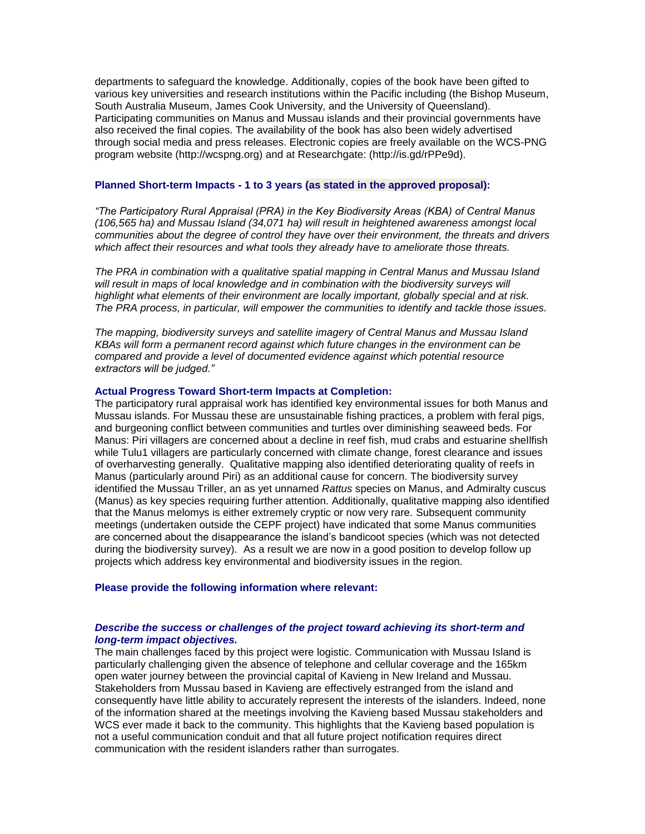departments to safeguard the knowledge. Additionally, copies of the book have been gifted to various key universities and research institutions within the Pacific including (the Bishop Museum, South Australia Museum, James Cook University, and the University of Queensland). Participating communities on Manus and Mussau islands and their provincial governments have also received the final copies. The availability of the book has also been widely advertised through social media and press releases. Electronic copies are freely available on the WCS-PNG program website [\(http://wcspng.org\)](http://wcspng.org/) and at Researchgate: [\(http://is.gd/rPPe9d\)](http://is.gd/rPPe9d).

## **Planned Short-term Impacts - 1 to 3 years (as stated in the approved proposal):**

*"The Participatory Rural Appraisal (PRA) in the Key Biodiversity Areas (KBA) of Central Manus (106,565 ha) and Mussau Island (34,071 ha) will result in heightened awareness amongst local communities about the degree of control they have over their environment, the threats and drivers which affect their resources and what tools they already have to ameliorate those threats.* 

*The PRA in combination with a qualitative spatial mapping in Central Manus and Mussau Island*  will result in maps of local knowledge and in combination with the biodiversity surveys will *highlight what elements of their environment are locally important, globally special and at risk. The PRA process, in particular, will empower the communities to identify and tackle those issues.* 

*The mapping, biodiversity surveys and satellite imagery of Central Manus and Mussau Island KBAs will form a permanent record against which future changes in the environment can be compared and provide a level of documented evidence against which potential resource extractors will be judged."*

#### **Actual Progress Toward Short-term Impacts at Completion:**

The participatory rural appraisal work has identified key environmental issues for both Manus and Mussau islands. For Mussau these are unsustainable fishing practices, a problem with feral pigs, and burgeoning conflict between communities and turtles over diminishing seaweed beds. For Manus: Piri villagers are concerned about a decline in reef fish, mud crabs and estuarine shellfish while Tulu1 villagers are particularly concerned with climate change, forest clearance and issues of overharvesting generally. Qualitative mapping also identified deteriorating quality of reefs in Manus (particularly around Piri) as an additional cause for concern. The biodiversity survey identified the Mussau Triller, an as yet unnamed *Rattus* species on Manus, and Admiralty cuscus (Manus) as key species requiring further attention. Additionally, qualitative mapping also identified that the Manus melomys is either extremely cryptic or now very rare. Subsequent community meetings (undertaken outside the CEPF project) have indicated that some Manus communities are concerned about the disappearance the island's bandicoot species (which was not detected during the biodiversity survey). As a result we are now in a good position to develop follow up projects which address key environmental and biodiversity issues in the region.

#### **Please provide the following information where relevant:**

## *Describe the success or challenges of the project toward achieving its short-term and long-term impact objectives.*

The main challenges faced by this project were logistic. Communication with Mussau Island is particularly challenging given the absence of telephone and cellular coverage and the 165km open water journey between the provincial capital of Kavieng in New Ireland and Mussau. Stakeholders from Mussau based in Kavieng are effectively estranged from the island and consequently have little ability to accurately represent the interests of the islanders. Indeed, none of the information shared at the meetings involving the Kavieng based Mussau stakeholders and WCS ever made it back to the community. This highlights that the Kavieng based population is not a useful communication conduit and that all future project notification requires direct communication with the resident islanders rather than surrogates.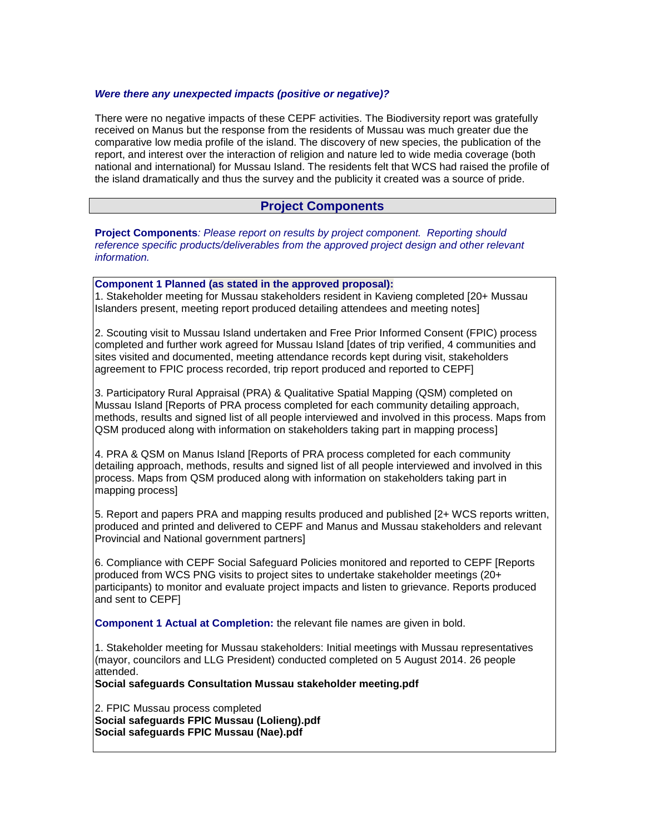## *Were there any unexpected impacts (positive or negative)?*

There were no negative impacts of these CEPF activities. The Biodiversity report was gratefully received on Manus but the response from the residents of Mussau was much greater due the comparative low media profile of the island. The discovery of new species, the publication of the report, and interest over the interaction of religion and nature led to wide media coverage (both national and international) for Mussau Island. The residents felt that WCS had raised the profile of the island dramatically and thus the survey and the publicity it created was a source of pride.

# **Project Components**

**Project Components***: Please report on results by project component. Reporting should reference specific products/deliverables from the approved project design and other relevant information.*

**Component 1 Planned (as stated in the approved proposal):** 1. Stakeholder meeting for Mussau stakeholders resident in Kavieng completed [20+ Mussau Islanders present, meeting report produced detailing attendees and meeting notes]

2. Scouting visit to Mussau Island undertaken and Free Prior Informed Consent (FPIC) process completed and further work agreed for Mussau Island [dates of trip verified, 4 communities and sites visited and documented, meeting attendance records kept during visit, stakeholders agreement to FPIC process recorded, trip report produced and reported to CEPF]

3. Participatory Rural Appraisal (PRA) & Qualitative Spatial Mapping (QSM) completed on Mussau Island [Reports of PRA process completed for each community detailing approach, methods, results and signed list of all people interviewed and involved in this process. Maps from QSM produced along with information on stakeholders taking part in mapping process]

4. PRA & QSM on Manus Island [Reports of PRA process completed for each community detailing approach, methods, results and signed list of all people interviewed and involved in this process. Maps from QSM produced along with information on stakeholders taking part in mapping process]

5. Report and papers PRA and mapping results produced and published [2+ WCS reports written, produced and printed and delivered to CEPF and Manus and Mussau stakeholders and relevant Provincial and National government partners]

6. Compliance with CEPF Social Safeguard Policies monitored and reported to CEPF [Reports produced from WCS PNG visits to project sites to undertake stakeholder meetings (20+ participants) to monitor and evaluate project impacts and listen to grievance. Reports produced and sent to CEPF]

**Component 1 Actual at Completion:** the relevant file names are given in bold.

1. Stakeholder meeting for Mussau stakeholders: Initial meetings with Mussau representatives (mayor, councilors and LLG President) conducted completed on 5 August 2014. 26 people attended.

**Social safeguards Consultation Mussau stakeholder meeting.pdf**

2. FPIC Mussau process completed **Social safeguards FPIC Mussau (Lolieng).pdf Social safeguards FPIC Mussau (Nae).pdf**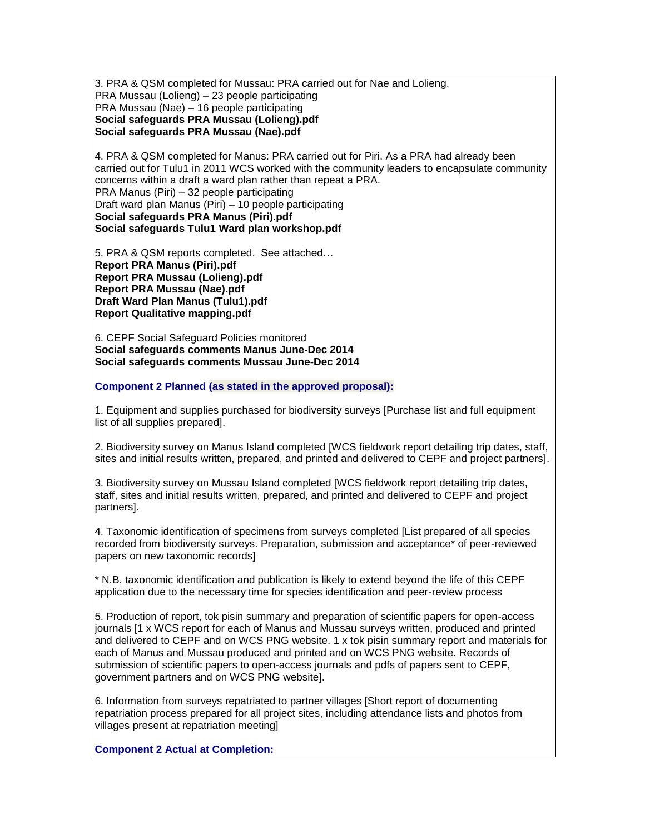3. PRA & QSM completed for Mussau: PRA carried out for Nae and Lolieng. PRA Mussau (Lolieng) – 23 people participating PRA Mussau (Nae) – 16 people participating **Social safeguards PRA Mussau (Lolieng).pdf Social safeguards PRA Mussau (Nae).pdf**

4. PRA & QSM completed for Manus: PRA carried out for Piri. As a PRA had already been carried out for Tulu1 in 2011 WCS worked with the community leaders to encapsulate community concerns within a draft a ward plan rather than repeat a PRA. PRA Manus (Piri) – 32 people participating Draft ward plan Manus (Piri) – 10 people participating **Social safeguards PRA Manus (Piri).pdf Social safeguards Tulu1 Ward plan workshop.pdf**

5. PRA & QSM reports completed. See attached… **Report PRA Manus (Piri).pdf Report PRA Mussau (Lolieng).pdf Report PRA Mussau (Nae).pdf Draft Ward Plan Manus (Tulu1).pdf Report Qualitative mapping.pdf**

6. CEPF Social Safeguard Policies monitored **Social safeguards comments Manus June-Dec 2014 Social safeguards comments Mussau June-Dec 2014**

**Component 2 Planned (as stated in the approved proposal):**

1. Equipment and supplies purchased for biodiversity surveys [Purchase list and full equipment list of all supplies prepared].

2. Biodiversity survey on Manus Island completed [WCS fieldwork report detailing trip dates, staff, sites and initial results written, prepared, and printed and delivered to CEPF and project partners].

3. Biodiversity survey on Mussau Island completed [WCS fieldwork report detailing trip dates, staff, sites and initial results written, prepared, and printed and delivered to CEPF and project partners].

4. Taxonomic identification of specimens from surveys completed [List prepared of all species recorded from biodiversity surveys. Preparation, submission and acceptance\* of peer-reviewed papers on new taxonomic records]

\* N.B. taxonomic identification and publication is likely to extend beyond the life of this CEPF application due to the necessary time for species identification and peer-review process

5. Production of report, tok pisin summary and preparation of scientific papers for open-access journals [1 x WCS report for each of Manus and Mussau surveys written, produced and printed and delivered to CEPF and on WCS PNG website. 1 x tok pisin summary report and materials for each of Manus and Mussau produced and printed and on WCS PNG website. Records of submission of scientific papers to open-access journals and pdfs of papers sent to CEPF, government partners and on WCS PNG website].

6. Information from surveys repatriated to partner villages [Short report of documenting repatriation process prepared for all project sites, including attendance lists and photos from villages present at repatriation meeting]

**Component 2 Actual at Completion:**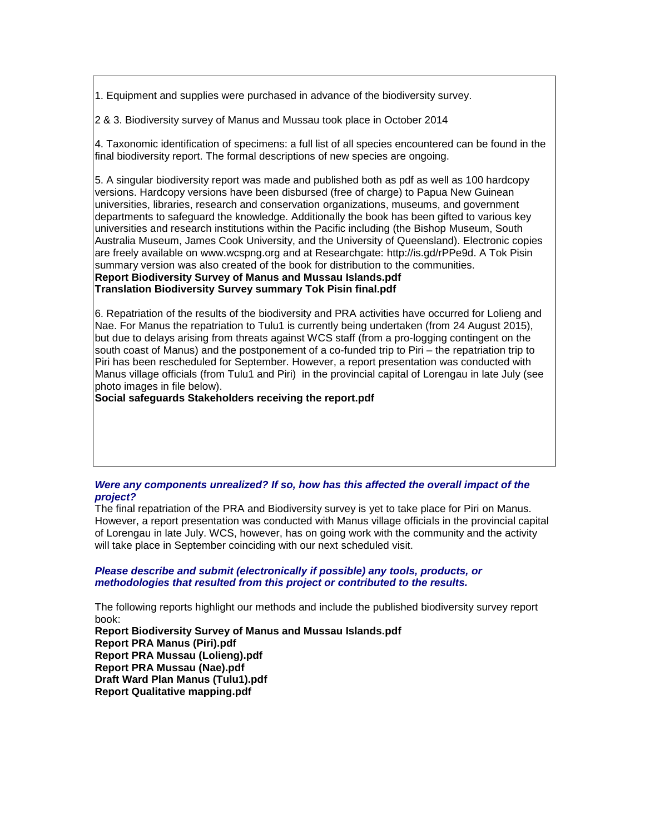1. Equipment and supplies were purchased in advance of the biodiversity survey.

2 & 3. Biodiversity survey of Manus and Mussau took place in October 2014

4. Taxonomic identification of specimens: a full list of all species encountered can be found in the final biodiversity report. The formal descriptions of new species are ongoing.

5. A singular biodiversity report was made and published both as pdf as well as 100 hardcopy versions. Hardcopy versions have been disbursed (free of charge) to Papua New Guinean universities, libraries, research and conservation organizations, museums, and government departments to safeguard the knowledge. Additionally the book has been gifted to various key universities and research institutions within the Pacific including (the Bishop Museum, South Australia Museum, James Cook University, and the University of Queensland). Electronic copies are freely available on www.wcspng.org and at Researchgate: [http://is.gd/rPPe9d.](http://is.gd/rPPe9d) A Tok Pisin summary version was also created of the book for distribution to the communities. **Report Biodiversity Survey of Manus and Mussau Islands.pdf Translation Biodiversity Survey summary Tok Pisin final.pdf**

6. Repatriation of the results of the biodiversity and PRA activities have occurred for Lolieng and Nae. For Manus the repatriation to Tulu1 is currently being undertaken (from 24 August 2015), but due to delays arising from threats against WCS staff (from a pro-logging contingent on the south coast of Manus) and the postponement of a co-funded trip to Piri – the repatriation trip to Piri has been rescheduled for September. However, a report presentation was conducted with Manus village officials (from Tulu1 and Piri) in the provincial capital of Lorengau in late July (see photo images in file below).

**Social safeguards Stakeholders receiving the report.pdf**

## *Were any components unrealized? If so, how has this affected the overall impact of the project?*

The final repatriation of the PRA and Biodiversity survey is yet to take place for Piri on Manus. However, a report presentation was conducted with Manus village officials in the provincial capital of Lorengau in late July. WCS, however, has on going work with the community and the activity will take place in September coinciding with our next scheduled visit.

## *Please describe and submit (electronically if possible) any tools, products, or methodologies that resulted from this project or contributed to the results.*

The following reports highlight our methods and include the published biodiversity survey report book: **Report Biodiversity Survey of Manus and Mussau Islands.pdf Report PRA Manus (Piri).pdf Report PRA Mussau (Lolieng).pdf Report PRA Mussau (Nae).pdf Draft Ward Plan Manus (Tulu1).pdf Report Qualitative mapping.pdf**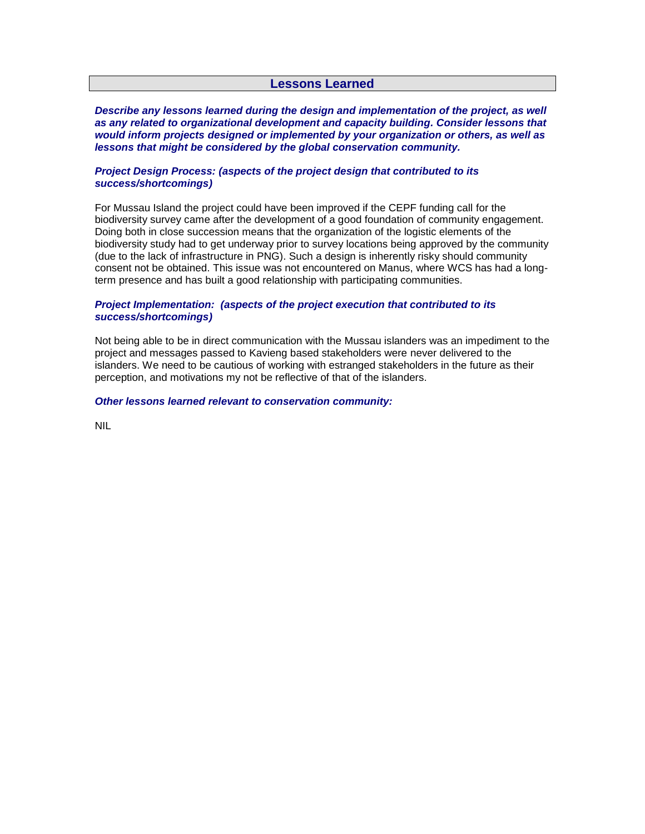# **Lessons Learned**

*Describe any lessons learned during the design and implementation of the project, as well as any related to organizational development and capacity building. Consider lessons that would inform projects designed or implemented by your organization or others, as well as lessons that might be considered by the global conservation community.*

## *Project Design Process: (aspects of the project design that contributed to its success/shortcomings)*

For Mussau Island the project could have been improved if the CEPF funding call for the biodiversity survey came after the development of a good foundation of community engagement. Doing both in close succession means that the organization of the logistic elements of the biodiversity study had to get underway prior to survey locations being approved by the community (due to the lack of infrastructure in PNG). Such a design is inherently risky should community consent not be obtained. This issue was not encountered on Manus, where WCS has had a longterm presence and has built a good relationship with participating communities.

## *Project Implementation: (aspects of the project execution that contributed to its success/shortcomings)*

Not being able to be in direct communication with the Mussau islanders was an impediment to the project and messages passed to Kavieng based stakeholders were never delivered to the islanders. We need to be cautious of working with estranged stakeholders in the future as their perception, and motivations my not be reflective of that of the islanders.

#### *Other lessons learned relevant to conservation community:*

NIL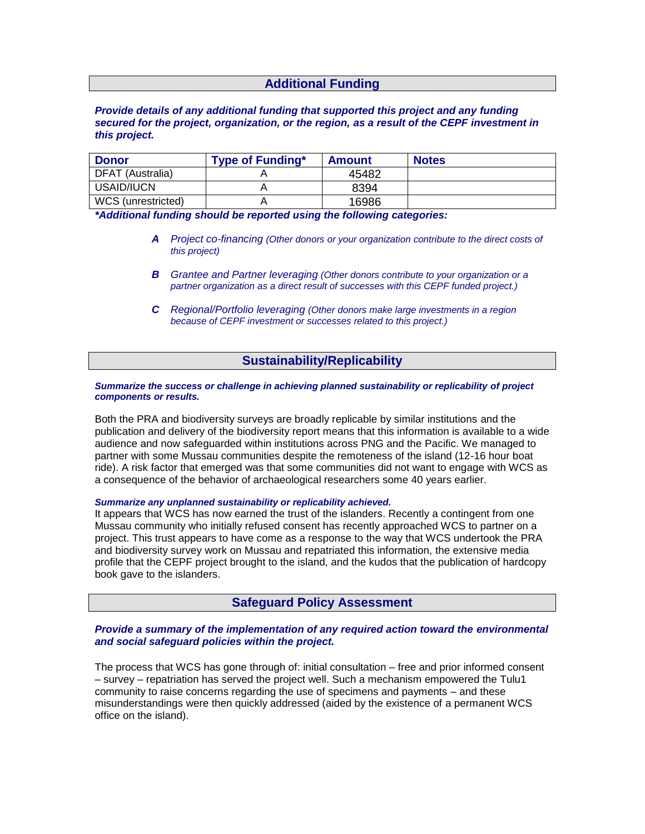# **Additional Funding**

*Provide details of any additional funding that supported this project and any funding secured for the project, organization, or the region, as a result of the CEPF investment in this project.*

| <b>Donor</b>       | <b>Type of Funding*</b> | <b>Amount</b> | <b>Notes</b> |
|--------------------|-------------------------|---------------|--------------|
| DFAT (Australia)   |                         | 45482         |              |
| USAID/IUCN         |                         | 8394          |              |
| WCS (unrestricted) |                         | 16986         |              |

*\*Additional funding should be reported using the following categories:*

- *A Project co-financing (Other donors or your organization contribute to the direct costs of this project)*
- *B Grantee and Partner leveraging (Other donors contribute to your organization or a partner organization as a direct result of successes with this CEPF funded project.)*
- *C Regional/Portfolio leveraging (Other donors make large investments in a region because of CEPF investment or successes related to this project.)*

# **Sustainability/Replicability**

#### *Summarize the success or challenge in achieving planned sustainability or replicability of project components or results.*

Both the PRA and biodiversity surveys are broadly replicable by similar institutions and the publication and delivery of the biodiversity report means that this information is available to a wide audience and now safeguarded within institutions across PNG and the Pacific. We managed to partner with some Mussau communities despite the remoteness of the island (12-16 hour boat ride). A risk factor that emerged was that some communities did not want to engage with WCS as a consequence of the behavior of archaeological researchers some 40 years earlier.

#### *Summarize any unplanned sustainability or replicability achieved.*

It appears that WCS has now earned the trust of the islanders. Recently a contingent from one Mussau community who initially refused consent has recently approached WCS to partner on a project. This trust appears to have come as a response to the way that WCS undertook the PRA and biodiversity survey work on Mussau and repatriated this information, the extensive media profile that the CEPF project brought to the island, and the kudos that the publication of hardcopy book gave to the islanders.

# **Safeguard Policy Assessment**

## *Provide a summary of the implementation of any required action toward the environmental and social safeguard policies within the project.*

The process that WCS has gone through of: initial consultation – free and prior informed consent – survey – repatriation has served the project well. Such a mechanism empowered the Tulu1 community to raise concerns regarding the use of specimens and payments – and these misunderstandings were then quickly addressed (aided by the existence of a permanent WCS office on the island).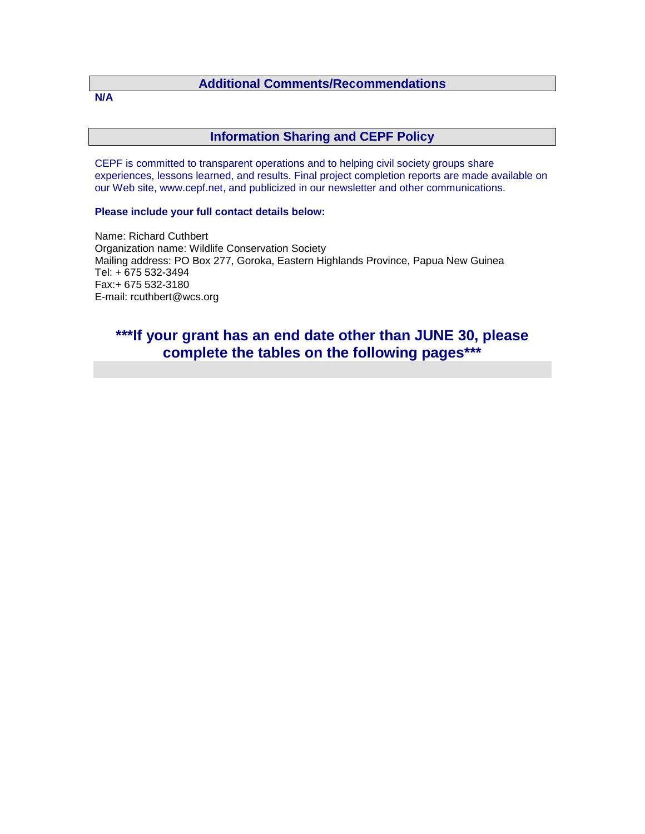**Additional Comments/Recommendations**

**N/A**

# **Information Sharing and CEPF Policy**

CEPF is committed to transparent operations and to helping civil society groups share experiences, lessons learned, and results. Final project completion reports are made available on our Web site, [www.cepf.net,](http://www.cepf.net/) and publicized in our newsletter and other communications.

## **Please include your full contact details below:**

Name: Richard Cuthbert Organization name: Wildlife Conservation Society Mailing address: PO Box 277, Goroka, Eastern Highlands Province, Papua New Guinea Tel: + 675 532-3494 Fax:+ 675 532-3180 E-mail: rcuthbert@wcs.org

# **\*\*\*If your grant has an end date other than JUNE 30, please complete the tables on the following pages\*\*\***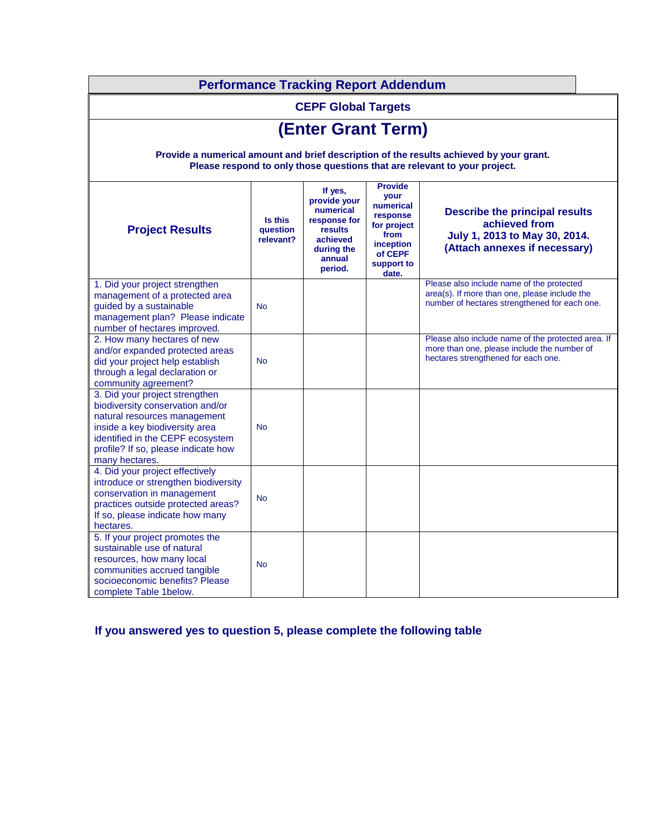| <b>Performance Tracking Report Addendum</b>                                                                                                                                                                                       |                                  |                                                                                                                       |                                                                                                                              |                                                                                                                                                                      |  |  |  |  |  |  |
|-----------------------------------------------------------------------------------------------------------------------------------------------------------------------------------------------------------------------------------|----------------------------------|-----------------------------------------------------------------------------------------------------------------------|------------------------------------------------------------------------------------------------------------------------------|----------------------------------------------------------------------------------------------------------------------------------------------------------------------|--|--|--|--|--|--|
|                                                                                                                                                                                                                                   |                                  | <b>CEPF Global Targets</b>                                                                                            |                                                                                                                              |                                                                                                                                                                      |  |  |  |  |  |  |
|                                                                                                                                                                                                                                   |                                  | <b>(Enter Grant Term)</b>                                                                                             |                                                                                                                              |                                                                                                                                                                      |  |  |  |  |  |  |
|                                                                                                                                                                                                                                   |                                  |                                                                                                                       |                                                                                                                              | Provide a numerical amount and brief description of the results achieved by your grant.<br>Please respond to only those questions that are relevant to your project. |  |  |  |  |  |  |
| <b>Project Results</b>                                                                                                                                                                                                            | Is this<br>question<br>relevant? | If yes,<br>provide your<br>numerical<br>response for<br><b>results</b><br>achieved<br>during the<br>annual<br>period. | <b>Provide</b><br><b>your</b><br>numerical<br>response<br>for project<br>from<br>inception<br>of CEPF<br>support to<br>date. | <b>Describe the principal results</b><br>achieved from<br>July 1, 2013 to May 30, 2014.<br>(Attach annexes if necessary)                                             |  |  |  |  |  |  |
| 1. Did your project strengthen<br>management of a protected area<br>guided by a sustainable<br>management plan? Please indicate<br>number of hectares improved.                                                                   | <b>No</b>                        |                                                                                                                       |                                                                                                                              | Please also include name of the protected<br>area(s). If more than one, please include the<br>number of hectares strengthened for each one.                          |  |  |  |  |  |  |
| 2. How many hectares of new<br>and/or expanded protected areas<br>did your project help establish<br>through a legal declaration or<br>community agreement?                                                                       | <b>No</b>                        |                                                                                                                       |                                                                                                                              | Please also include name of the protected area. If<br>more than one, please include the number of<br>hectares strengthened for each one.                             |  |  |  |  |  |  |
| 3. Did your project strengthen<br>biodiversity conservation and/or<br>natural resources management<br>inside a key biodiversity area<br>identified in the CEPF ecosystem<br>profile? If so, please indicate how<br>many hectares. | <b>No</b>                        |                                                                                                                       |                                                                                                                              |                                                                                                                                                                      |  |  |  |  |  |  |
| 4. Did your project effectively<br>introduce or strengthen biodiversity<br>conservation in management<br>practices outside protected areas?<br>If so, please indicate how many<br>hectares.                                       | <b>No</b>                        |                                                                                                                       |                                                                                                                              |                                                                                                                                                                      |  |  |  |  |  |  |
| 5. If your project promotes the<br>sustainable use of natural<br>resources, how many local<br>communities accrued tangible<br>socioeconomic benefits? Please<br>complete Table 1below.                                            | <b>No</b>                        |                                                                                                                       |                                                                                                                              |                                                                                                                                                                      |  |  |  |  |  |  |

**If you answered yes to question 5, please complete the following table**